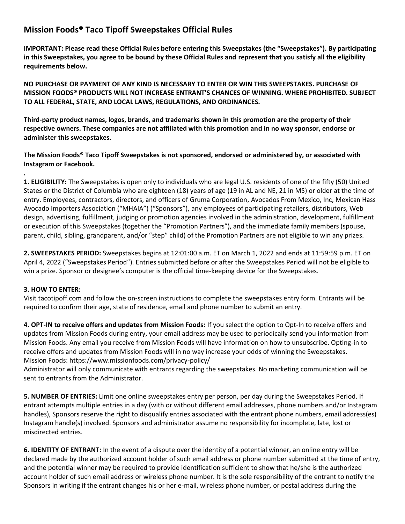## **Mission Foods® Taco Tipoff Sweepstakes Official Rules**

**IMPORTANT: Please read these Official Rules before entering this Sweepstakes (the "Sweepstakes"). By participating in this Sweepstakes, you agree to be bound by these Official Rules and represent that you satisfy all the eligibility requirements below.**

**NO PURCHASE OR PAYMENT OF ANY KIND IS NECESSARY TO ENTER OR WIN THIS SWEEPSTAKES. PURCHASE OF MISSION FOODS® PRODUCTS WILL NOT INCREASE ENTRANT'S CHANCES OF WINNING. WHERE PROHIBITED. SUBJECT TO ALL FEDERAL, STATE, AND LOCAL LAWS, REGULATIONS, AND ORDINANCES.**

**Third-party product names, logos, brands, and trademarks shown in this promotion are the property of their respective owners. These companies are not affiliated with this promotion and in no way sponsor, endorse or administer this sweepstakes.**

**The Mission Foods® Taco Tipoff Sweepstakes is not sponsored, endorsed or administered by, or associated with Instagram or Facebook.**

**1. ELIGIBILITY:** The Sweepstakes is open only to individuals who are legal U.S. residents of one of the fifty (50) United States or the District of Columbia who are eighteen (18) years of age (19 in AL and NE, 21 in MS) or older at the time of entry. Employees, contractors, directors, and officers of Gruma Corporation, Avocados From Mexico, Inc, Mexican Hass Avocado Importers Association ("MHAIA") ("Sponsors"), any employees of participating retailers, distributors, Web design, advertising, fulfillment, judging or promotion agencies involved in the administration, development, fulfillment or execution of this Sweepstakes (together the "Promotion Partners"), and the immediate family members (spouse, parent, child, sibling, grandparent, and/or "step" child) of the Promotion Partners are not eligible to win any prizes.

**2. SWEEPSTAKES PERIOD:** Sweepstakes begins at 12:01:00 a.m. ET on March 1, 2022 and ends at 11:59:59 p.m. ET on April 4, 2022 ("Sweepstakes Period"). Entries submitted before or after the Sweepstakes Period will not be eligible to win a prize. Sponsor or designee's computer is the official time-keeping device for the Sweepstakes.

## **3. HOW TO ENTER:**

**.**

Visit tacotipoff.com and follow the on-screen instructions to complete the sweepstakes entry form. Entrants will be required to confirm their age, state of residence, email and phone number to submit an entry.

**4. OPT-IN to receive offers and updates from Mission Foods:** If you select the option to Opt-In to receive offers and updates from Mission Foods during entry, your email address may be used to periodically send you information from Mission Foods. Any email you receive from Mission Foods will have information on how to unsubscribe. Opting-in to receive offers and updates from Mission Foods will in no way increase your odds of winning the Sweepstakes. Mission Foods: https://www.missionfoods.com/privacy-policy/

Administrator will only communicate with entrants regarding the sweepstakes. No marketing communication will be sent to entrants from the Administrator.

**5. NUMBER OF ENTRIES:** Limit one online sweepstakes entry per person, per day during the Sweepstakes Period. If entrant attempts multiple entries in a day (with or without different email addresses, phone numbers and/or Instagram handles), Sponsors reserve the right to disqualify entries associated with the entrant phone numbers, email address(es) Instagram handle(s) involved. Sponsors and administrator assume no responsibility for incomplete, late, lost or misdirected entries.

**6. IDENTITY OF ENTRANT:** In the event of a dispute over the identity of a potential winner, an online entry will be declared made by the authorized account holder of such email address or phone number submitted at the time of entry, and the potential winner may be required to provide identification sufficient to show that he/she is the authorized account holder of such email address or wireless phone number. It is the sole responsibility of the entrant to notify the Sponsors in writing if the entrant changes his or her e-mail, wireless phone number, or postal address during the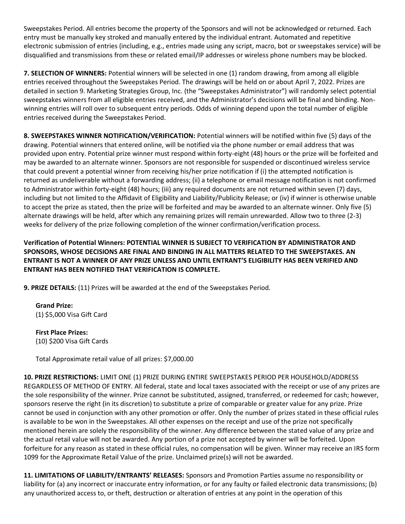Sweepstakes Period. All entries become the property of the Sponsors and will not be acknowledged or returned. Each entry must be manually key stroked and manually entered by the individual entrant. Automated and repetitive electronic submission of entries (including, e.g., entries made using any script, macro, bot or sweepstakes service) will be disqualified and transmissions from these or related email/IP addresses or wireless phone numbers may be blocked.

**7. SELECTION OF WINNERS:** Potential winners will be selected in one (1) random drawing, from among all eligible entries received throughout the Sweepstakes Period. The drawings will be held on or about April 7, 2022. Prizes are detailed in section 9. Marketing Strategies Group, Inc. (the "Sweepstakes Administrator") will randomly select potential sweepstakes winners from all eligible entries received, and the Administrator's decisions will be final and binding. Nonwinning entries will roll over to subsequent entry periods. Odds of winning depend upon the total number of eligible entries received during the Sweepstakes Period.

**8. SWEEPSTAKES WINNER NOTIFICATION/VERIFICATION:** Potential winners will be notified within five (5) days of the drawing. Potential winners that entered online, will be notified via the phone number or email address that was provided upon entry. Potential prize winner must respond within forty-eight (48) hours or the prize will be forfeited and may be awarded to an alternate winner. Sponsors are not responsible for suspended or discontinued wireless service that could prevent a potential winner from receiving his/her prize notification if (i) the attempted notification is returned as undeliverable without a forwarding address; (ii) a telephone or email message notification is not confirmed to Administrator within forty-eight (48) hours; (iii) any required documents are not returned within seven (7) days, including but not limited to the Affidavit of Eligibility and Liability/Publicity Release; or (iv) if winner is otherwise unable to accept the prize as stated, then the prize will be forfeited and may be awarded to an alternate winner. Only five (5) alternate drawings will be held, after which any remaining prizes will remain unrewarded. Allow two to three (2-3) weeks for delivery of the prize following completion of the winner confirmation/verification process.

## **Verification of Potential Winners: POTENTIAL WINNER IS SUBJECT TO VERIFICATION BY ADMINISTRATOR AND SPONSORS, WHOSE DECISIONS ARE FINAL AND BINDING IN ALL MATTERS RELATED TO THE SWEEPSTAKES. AN ENTRANT IS NOT A WINNER OF ANY PRIZE UNLESS AND UNTIL ENTRANT'S ELIGIBILITY HAS BEEN VERIFIED AND ENTRANT HAS BEEN NOTIFIED THAT VERIFICATION IS COMPLETE.**

**9. PRIZE DETAILS:** (11) Prizes will be awarded at the end of the Sweepstakes Period.

**Grand Prize:**  (1) \$5,000 Visa Gift Card

**First Place Prizes:** (10) \$200 Visa Gift Cards

Total Approximate retail value of all prizes: \$7,000.00

**10. PRIZE RESTRICTIONS:** LIMIT ONE (1) PRIZE DURING ENTIRE SWEEPSTAKES PERIOD PER HOUSEHOLD/ADDRESS REGARDLESS OF METHOD OF ENTRY. All federal, state and local taxes associated with the receipt or use of any prizes are the sole responsibility of the winner. Prize cannot be substituted, assigned, transferred, or redeemed for cash; however, sponsors reserve the right (in its discretion) to substitute a prize of comparable or greater value for any prize. Prize cannot be used in conjunction with any other promotion or offer. Only the number of prizes stated in these official rules is available to be won in the Sweepstakes. All other expenses on the receipt and use of the prize not specifically mentioned herein are solely the responsibility of the winner. Any difference between the stated value of any prize and the actual retail value will not be awarded. Any portion of a prize not accepted by winner will be forfeited. Upon forfeiture for any reason as stated in these official rules, no compensation will be given. Winner may receive an IRS form 1099 for the Approximate Retail Value of the prize. Unclaimed prize(s) will not be awarded.

**11. LIMITATIONS OF LIABILITY/ENTRANTS' RELEASES:** Sponsors and Promotion Parties assume no responsibility or liability for (a) any incorrect or inaccurate entry information, or for any faulty or failed electronic data transmissions; (b) any unauthorized access to, or theft, destruction or alteration of entries at any point in the operation of this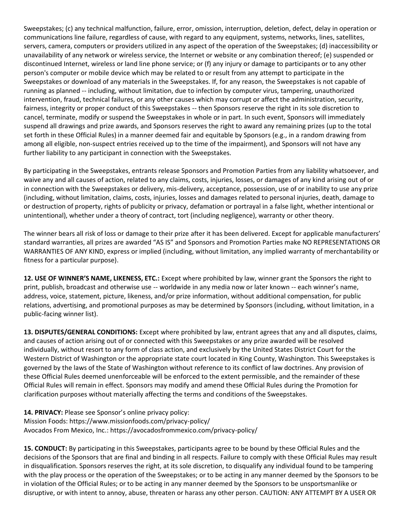Sweepstakes; (c) any technical malfunction, failure, error, omission, interruption, deletion, defect, delay in operation or communications line failure, regardless of cause, with regard to any equipment, systems, networks, lines, satellites, servers, camera, computers or providers utilized in any aspect of the operation of the Sweepstakes; (d) inaccessibility or unavailability of any network or wireless service, the Internet or website or any combination thereof; (e) suspended or discontinued Internet, wireless or land line phone service; or (f) any injury or damage to participants or to any other person's computer or mobile device which may be related to or result from any attempt to participate in the Sweepstakes or download of any materials in the Sweepstakes. If, for any reason, the Sweepstakes is not capable of running as planned -- including, without limitation, due to infection by computer virus, tampering, unauthorized intervention, fraud, technical failures, or any other causes which may corrupt or affect the administration, security, fairness, integrity or proper conduct of this Sweepstakes -- then Sponsors reserve the right in its sole discretion to cancel, terminate, modify or suspend the Sweepstakes in whole or in part. In such event, Sponsors will immediately suspend all drawings and prize awards, and Sponsors reserves the right to award any remaining prizes (up to the total set forth in these Official Rules) in a manner deemed fair and equitable by Sponsors (e.g., in a random drawing from among all eligible, non-suspect entries received up to the time of the impairment), and Sponsors will not have any further liability to any participant in connection with the Sweepstakes.

By participating in the Sweepstakes, entrants release Sponsors and Promotion Parties from any liability whatsoever, and waive any and all causes of action, related to any claims, costs, injuries, losses, or damages of any kind arising out of or in connection with the Sweepstakes or delivery, mis-delivery, acceptance, possession, use of or inability to use any prize (including, without limitation, claims, costs, injuries, losses and damages related to personal injuries, death, damage to or destruction of property, rights of publicity or privacy, defamation or portrayal in a false light, whether intentional or unintentional), whether under a theory of contract, tort (including negligence), warranty or other theory.

The winner bears all risk of loss or damage to their prize after it has been delivered. Except for applicable manufacturers' standard warranties, all prizes are awarded "AS IS" and Sponsors and Promotion Parties make NO REPRESENTATIONS OR WARRANTIES OF ANY KIND, express or implied (including, without limitation, any implied warranty of merchantability or fitness for a particular purpose).

**12. USE OF WINNER'S NAME, LIKENESS, ETC.:** Except where prohibited by law, winner grant the Sponsors the right to print, publish, broadcast and otherwise use -- worldwide in any media now or later known -- each winner's name, address, voice, statement, picture, likeness, and/or prize information, without additional compensation, for public relations, advertising, and promotional purposes as may be determined by Sponsors (including, without limitation, in a public-facing winner list).

**13. DISPUTES/GENERAL CONDITIONS:** Except where prohibited by law, entrant agrees that any and all disputes, claims, and causes of action arising out of or connected with this Sweepstakes or any prize awarded will be resolved individually, without resort to any form of class action, and exclusively by the United States District Court for the Western District of Washington or the appropriate state court located in King County, Washington. This Sweepstakes is governed by the laws of the State of Washington without reference to its conflict of law doctrines. Any provision of these Official Rules deemed unenforceable will be enforced to the extent permissible, and the remainder of these Official Rules will remain in effect. Sponsors may modify and amend these Official Rules during the Promotion for clarification purposes without materially affecting the terms and conditions of the Sweepstakes.

**14. PRIVACY:** Please see Sponsor's online privacy policy: Mission Foods: https://www.missionfoods.com/privacy-policy/ Avocados From Mexico, Inc.: https://avocadosfrommexico.com/privacy-policy/

**15. CONDUCT:** By participating in this Sweepstakes, participants agree to be bound by these Official Rules and the decisions of the Sponsors that are final and binding in all respects. Failure to comply with these Official Rules may result in disqualification. Sponsors reserves the right, at its sole discretion, to disqualify any individual found to be tampering with the play process or the operation of the Sweepstakes; or to be acting in any manner deemed by the Sponsors to be in violation of the Official Rules; or to be acting in any manner deemed by the Sponsors to be unsportsmanlike or disruptive, or with intent to annoy, abuse, threaten or harass any other person. CAUTION: ANY ATTEMPT BY A USER OR